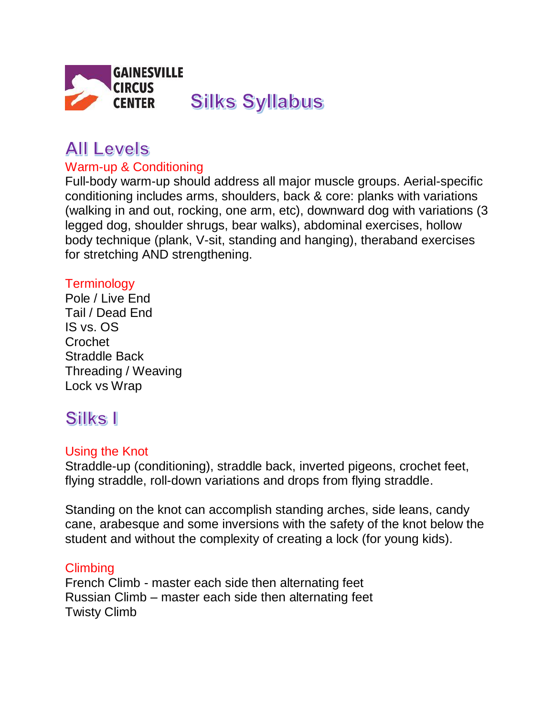

# **All Levels**

#### Warm-up & Conditioning

Full-body warm-up should address all major muscle groups. Aerial-specific conditioning includes arms, shoulders, back & core: planks with variations (walking in and out, rocking, one arm, etc), downward dog with variations (3 legged dog, shoulder shrugs, bear walks), abdominal exercises, hollow body technique (plank, V-sit, standing and hanging), theraband exercises for stretching AND strengthening.

#### **Terminology**

Pole / Live End Tail / Dead End IS vs. OS Crochet Straddle Back Threading / Weaving Lock vs Wrap

## Silks I

#### Using the Knot

Straddle-up (conditioning), straddle back, inverted pigeons, crochet feet, flying straddle, roll-down variations and drops from flying straddle.

Standing on the knot can accomplish standing arches, side leans, candy cane, arabesque and some inversions with the safety of the knot below the student and without the complexity of creating a lock (for young kids).

#### Climbing

French Climb - master each side then alternating feet Russian Climb – master each side then alternating feet Twisty Climb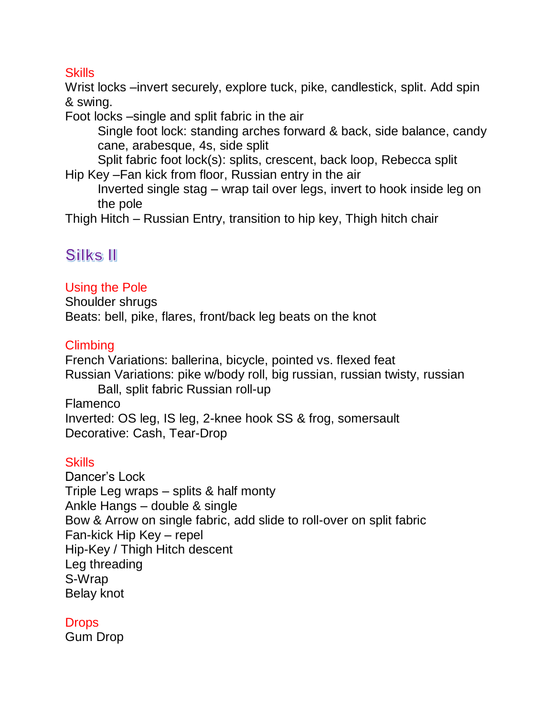#### **Skills**

Wrist locks –invert securely, explore tuck, pike, candlestick, split. Add spin & swing.

Foot locks –single and split fabric in the air

Single foot lock: standing arches forward & back, side balance, candy cane, arabesque, 4s, side split

Split fabric foot lock(s): splits, crescent, back loop, Rebecca split Hip Key –Fan kick from floor, Russian entry in the air

Inverted single stag – wrap tail over legs, invert to hook inside leg on the pole

Thigh Hitch – Russian Entry, transition to hip key, Thigh hitch chair

### Silks II

#### Using the Pole

Shoulder shrugs Beats: bell, pike, flares, front/back leg beats on the knot

#### Climbing

French Variations: ballerina, bicycle, pointed vs. flexed feat Russian Variations: pike w/body roll, big russian, russian twisty, russian Ball, split fabric Russian roll-up Flamenco Inverted: OS leg, IS leg, 2-knee hook SS & frog, somersault Decorative: Cash, Tear-Drop

#### **Skills**

Dancer's Lock Triple Leg wraps – splits & half monty Ankle Hangs – double & single Bow & Arrow on single fabric, add slide to roll-over on split fabric Fan-kick Hip Key – repel Hip-Key / Thigh Hitch descent Leg threading S-Wrap Belay knot

#### **Drops**

Gum Drop